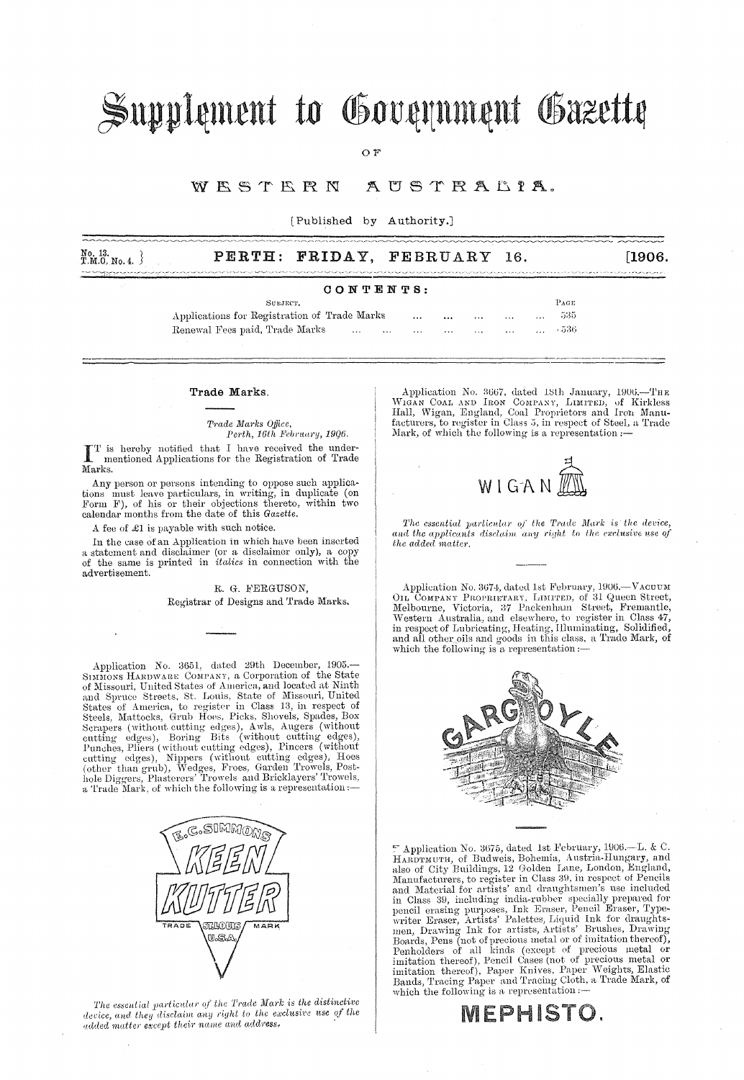# Supplement to Government Gazette

 $O F$ 

#### WESTERN AUSTRALIA.

[Published by Authority.]

| No. 13.<br>T.M.O. No. 4. } |  | PERTH: FRIDAY, FEBRUARY 16. | [1906]                                                                                                                                                                                                                               |
|----------------------------|--|-----------------------------|--------------------------------------------------------------------------------------------------------------------------------------------------------------------------------------------------------------------------------------|
|                            |  |                             | <b>Thingspapers and the control the security of the control of the control of the control of the control of the control of the control of the control of the control of the control of the control of the control of the control</b> |

#### CONTENTS:

SUBJECT.  $P_{ACE}$ Applications for Registration of Trade Marks 535  $\dddotsc$  $\ddotsc$ Renewal Fees paid, Trade Marks  $-536$  $\sim$  $\sim$  $\ddotsc$  $\ddotsc$  $\ddotsc$ 

#### Trade Marks.

Trade Marks Office, Perth, 16th February, 1906.

IT is hereby notified that I have received the under-<br>mentioned Applications for the Registration of Trade Marks.

Any person or persons intending to oppose such applications must leave particulars, in writing, in duplicate (on Form F), of his or their objections thereto, within two calendar months from the date of this Gazette.

A fee of £1 is payable with such notice.

In the case of an Application in which have been inserted a statement and disclaimer (or a disclaimer only), a copy of the same is printed in *italics* in connection with the advertisement.

> R. G. FERGUSON. Registrar of Designs and Trade Marks.

Application No. 3651, dated 29th December, 1905.-SIMMONS HARDWARE COMPANY, a Corporation of the State of Missouri, United States of America, and located at Ninth of America, St. Louis, State of Missouri, United States of America, to register in Class 13, in respect of Steels, Mattocks, Grub Hoes, Picks, Shovels, Spades, Box Steels, Mattocks, Grub Hoes, Picks, Shovels, Spades, Box<br>Scrapers (without cutting edges), Awls, Augers (without<br>cutting edges), Boring Bits (without cutting edges),<br>Punches, Pliers (without cutting edges), Pincers (withou



The essential particular of the Trade Mark is the distinctive device, and they disclaim any right to the exclusive use of the<br>added matter except their name and address. Application No. 3667, dated 18th January, 1906.—THE WIGAN COAL AND IRON COMPANY, LIMITED, of Kirkless Hall, Wigan, England, Coal Proprietors and Iron Manufacturers, to register in Class 5, in respect of Steel, a Trade Mark, of which the following is a representation :-



The essential particular of the Trade Mark is the device, and the applicants disclaim any right to the exclusive use of the added matter.

Application No. 3674, dated 1st February, 1906.-- VACUUM OIL COMPANY PROPRIETARY, LIMITED, of 31 Queen Street, Melbourne, Victoria, 37 Packenham Street, Fremantle, Western Australia, and elsewhere, to register in Class 47,<br>in respect of Lubricating, Heating, Illuminating, Solidified,<br>and all other oils and goods in this class, a Trade Mark, of<br>which the following in this class. which the following is a representation:-



 $\mathbb{F}$  Application No. 3675, dated 1st February, 1906.—L. & C. Application is considered as the contact is and Handburg and Handburg and Handburg and Handburg and Handburg and Handburg and also of City Buildings, 12 Golden Lane, London, England, Manufacturers, to register in Class 39, and Material for artists' and draughtsmen's use included<br>in Class 39, including india-rubber specially prepared for<br>pencil eraser, Artists' Patell Eraser, Type-<br>writer Eraser, Artists, Ealettes, Liquid Ink for draughts-<br>wr Bands, Tracing Paper and Tracing Cloth, a Trade Mark, of which the following is a representation:-